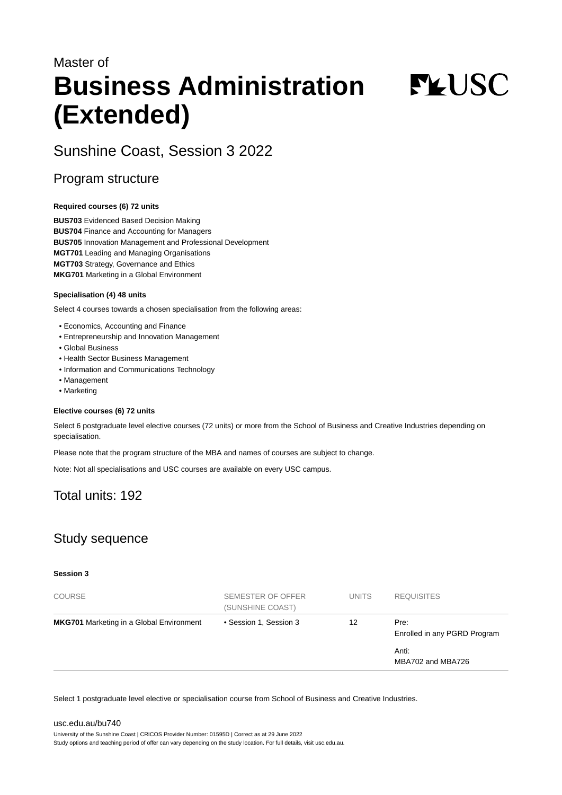# Master of **Business Administration (Extended)**

**FYUSC** 

# Sunshine Coast, Session 3 2022

### Program structure

#### **Required courses (6) 72 units**

**BUS703** Evidenced Based Decision Making **BUS704** Finance and Accounting for Managers **BUS705** Innovation Management and Professional Development **MGT701** Leading and Managing Organisations **MGT703** Strategy, Governance and Ethics **MKG701** Marketing in a Global Environment

#### **Specialisation (4) 48 units**

Select 4 courses towards a chosen specialisation from the following areas:

- Economics, Accounting and Finance
- Entrepreneurship and Innovation Management
- Global Business
- Health Sector Business Management
- Information and Communications Technology
- Management
- Marketing

#### **Elective courses (6) 72 units**

Select 6 postgraduate level elective courses (72 units) or more from the School of Business and Creative Industries depending on specialisation.

Please note that the program structure of the MBA and names of courses are subject to change.

Note: Not all specialisations and USC courses are available on every USC campus.

# Total units: 192

## Study sequence

#### **Session 3**

| <b>COURSE</b>                                   | SEMESTER OF OFFER<br>(SUNSHINE COAST) | <b>UNITS</b> | <b>REQUISITES</b>                    |
|-------------------------------------------------|---------------------------------------|--------------|--------------------------------------|
| <b>MKG701</b> Marketing in a Global Environment | • Session 1, Session 3                | 12           | Pre:<br>Enrolled in any PGRD Program |
|                                                 |                                       |              | Anti:<br>MBA702 and MBA726           |

Select 1 postgraduate level elective or specialisation course from School of Business and Creative Industries.

#### [usc.edu.au/bu740](https://www.usc.edu.au/bu740) University of the Sunshine Coast | CRICOS Provider Number: 01595D | Correct as at 29 June 2022 Study options and teaching period of offer can vary depending on the study location. For full details, visit usc.edu.au.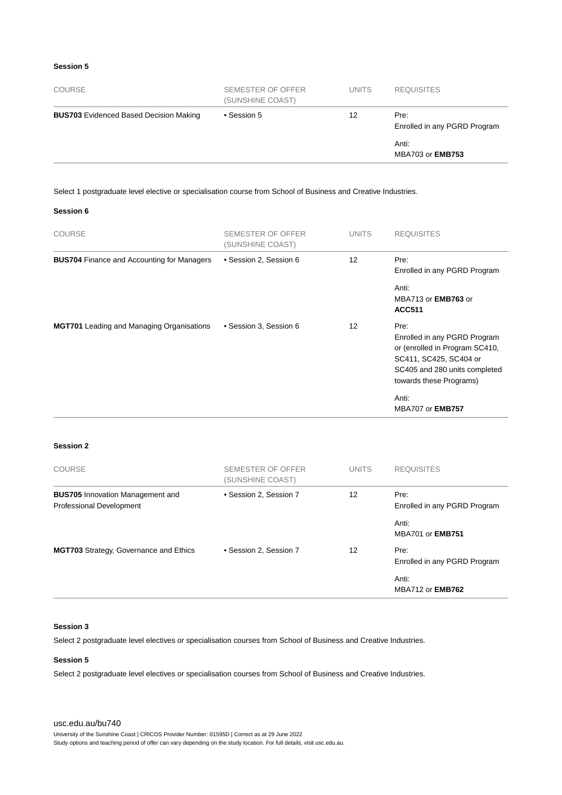#### **Session 5**

| <b>COURSE</b>                                 | SEMESTER OF OFFER<br>(SUNSHINE COAST) | <b>UNITS</b> | <b>REQUISITES</b>                    |
|-----------------------------------------------|---------------------------------------|--------------|--------------------------------------|
| <b>BUS703</b> Evidenced Based Decision Making | • Session 5                           | 12           | Pre:<br>Enrolled in any PGRD Program |
|                                               |                                       |              | Anti:<br>MBA703 or <b>EMB753</b>     |

Select 1 postgraduate level elective or specialisation course from School of Business and Creative Industries.

#### **Session 6**

| <b>COURSE</b>                                     | SEMESTER OF OFFER<br>(SUNSHINE COAST) | <b>UNITS</b>      | <b>REQUISITES</b>                                                                                                                                                     |
|---------------------------------------------------|---------------------------------------|-------------------|-----------------------------------------------------------------------------------------------------------------------------------------------------------------------|
| <b>BUS704</b> Finance and Accounting for Managers | • Session 2, Session 6                | $12 \overline{ }$ | Pre:<br>Enrolled in any PGRD Program                                                                                                                                  |
|                                                   |                                       |                   | Anti:<br>MBA713 or <b>EMB763</b> or<br><b>ACC511</b>                                                                                                                  |
| <b>MGT701</b> Leading and Managing Organisations  | • Session 3, Session 6                | 12                | Pre:<br>Enrolled in any PGRD Program<br>or (enrolled in Program SC410,<br>SC411, SC425, SC404 or<br>SC405 and 280 units completed<br>towards these Programs)<br>Anti: |
|                                                   |                                       |                   | <b>MBA707 or EMB757</b>                                                                                                                                               |

#### **Session 2**

| <b>COURSE</b>                                                       | <b>SEMESTER OF OFFER</b><br>(SUNSHINE COAST) | <b>UNITS</b> | <b>REQUISITES</b>                    |
|---------------------------------------------------------------------|----------------------------------------------|--------------|--------------------------------------|
| <b>BUS705</b> Innovation Management and<br>Professional Development | • Session 2, Session 7                       | 12           | Pre:<br>Enrolled in any PGRD Program |
|                                                                     |                                              |              | Anti:<br><b>MBA701 or EMB751</b>     |
| <b>MGT703</b> Strategy, Governance and Ethics                       | • Session 2, Session 7                       | 12           | Pre:<br>Enrolled in any PGRD Program |
|                                                                     |                                              |              | Anti:<br><b>MBA712 or EMB762</b>     |

#### **Session 3**

Select 2 postgraduate level electives or specialisation courses from School of Business and Creative Industries.

#### **Session 5**

Select 2 postgraduate level electives or specialisation courses from School of Business and Creative Industries.

#### [usc.edu.au/bu740](https://www.usc.edu.au/bu740)

University of the Sunshine Coast | CRICOS Provider Number: 01595D | Correct as at 29 June 2022

Study options and teaching period of offer can vary depending on the study location. For full details, visit usc.edu.au.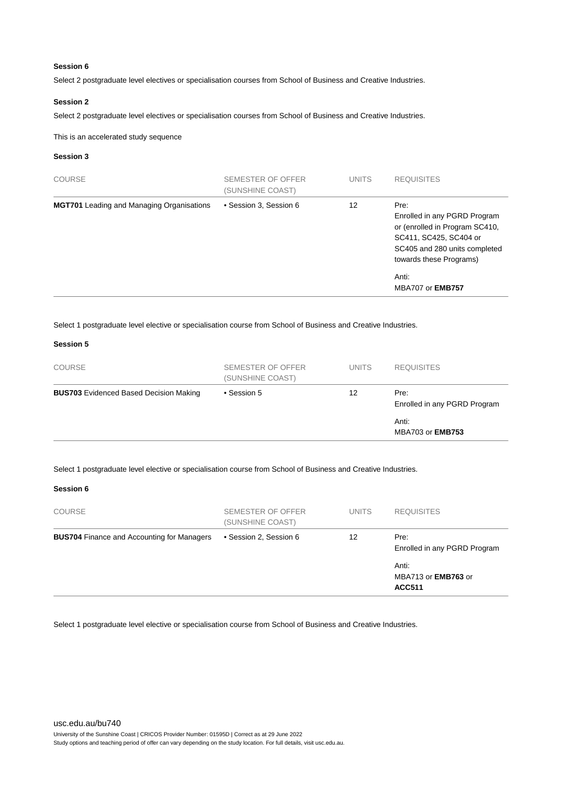#### **Session 6**

Select 2 postgraduate level electives or specialisation courses from School of Business and Creative Industries.

#### **Session 2**

Select 2 postgraduate level electives or specialisation courses from School of Business and Creative Industries.

This is an accelerated study sequence

#### **Session 3**

| <b>COURSE</b>                                    | SEMESTER OF OFFER<br>(SUNSHINE COAST) | <b>UNITS</b> | <b>REQUISITES</b>                                                                                                                                            |
|--------------------------------------------------|---------------------------------------|--------------|--------------------------------------------------------------------------------------------------------------------------------------------------------------|
| <b>MGT701</b> Leading and Managing Organisations | • Session 3, Session 6                | 12           | Pre:<br>Enrolled in any PGRD Program<br>or (enrolled in Program SC410,<br>SC411, SC425, SC404 or<br>SC405 and 280 units completed<br>towards these Programs) |
|                                                  |                                       |              | Anti:<br>MBA707 or <b>EMB757</b>                                                                                                                             |

Select 1 postgraduate level elective or specialisation course from School of Business and Creative Industries.

#### **Session 5**

| <b>COURSE</b>                                 | SEMESTER OF OFFER<br>(SUNSHINE COAST) | <b>UNITS</b> | <b>REQUISITES</b>                    |
|-----------------------------------------------|---------------------------------------|--------------|--------------------------------------|
| <b>BUS703</b> Evidenced Based Decision Making | • Session 5                           | 12           | Pre:<br>Enrolled in any PGRD Program |
|                                               |                                       |              | Anti:<br>MBA703 or <b>EMB753</b>     |

Select 1 postgraduate level elective or specialisation course from School of Business and Creative Industries.

#### **Session 6**

| <b>COURSE</b>                                     | SEMESTER OF OFFER<br>(SUNSHINE COAST) | <b>UNITS</b> | <b>REQUISITES</b>                                    |
|---------------------------------------------------|---------------------------------------|--------------|------------------------------------------------------|
| <b>BUS704</b> Finance and Accounting for Managers | • Session 2, Session 6                | 12           | Pre:<br>Enrolled in any PGRD Program                 |
|                                                   |                                       |              | Anti:<br>MBA713 or <b>EMB763</b> or<br><b>ACC511</b> |

Select 1 postgraduate level elective or specialisation course from School of Business and Creative Industries.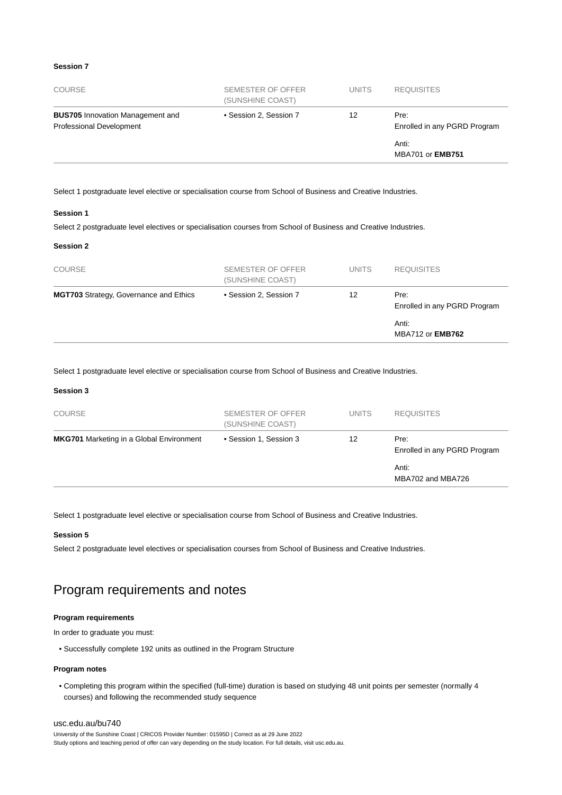#### **Session 7**

| <b>COURSE</b>                                                       | SEMESTER OF OFFER<br>(SUNSHINE COAST) | <b>UNITS</b> | <b>REQUISITES</b>                    |
|---------------------------------------------------------------------|---------------------------------------|--------------|--------------------------------------|
| <b>BUS705</b> Innovation Management and<br>Professional Development | • Session 2, Session 7                | 12           | Pre:<br>Enrolled in any PGRD Program |
|                                                                     |                                       |              | Anti:<br><b>MBA701 or EMB751</b>     |

Select 1 postgraduate level elective or specialisation course from School of Business and Creative Industries.

#### **Session 1**

Select 2 postgraduate level electives or specialisation courses from School of Business and Creative Industries.

#### **Session 2**

| <b>COURSE</b>                                 | <b>SEMESTER OF OFFER</b><br>(SUNSHINE COAST) | <b>UNITS</b> | <b>REQUISITES</b>                    |
|-----------------------------------------------|----------------------------------------------|--------------|--------------------------------------|
| <b>MGT703</b> Strategy, Governance and Ethics | • Session 2, Session 7                       | 12           | Pre:<br>Enrolled in any PGRD Program |
|                                               |                                              |              | Anti:<br><b>MBA712 or EMB762</b>     |

Select 1 postgraduate level elective or specialisation course from School of Business and Creative Industries.

#### **Session 3**

| <b>COURSE</b>                                   | SEMESTER OF OFFER<br>(SUNSHINE COAST) | <b>UNITS</b> | <b>REQUISITES</b>                    |
|-------------------------------------------------|---------------------------------------|--------------|--------------------------------------|
| <b>MKG701</b> Marketing in a Global Environment | • Session 1, Session 3                | 12           | Pre:<br>Enrolled in any PGRD Program |
|                                                 |                                       |              | Anti:<br>MBA702 and MBA726           |

Select 1 postgraduate level elective or specialisation course from School of Business and Creative Industries.

#### **Session 5**

Select 2 postgraduate level electives or specialisation courses from School of Business and Creative Industries.

# Program requirements and notes

#### **Program requirements**

In order to graduate you must:

• Successfully complete 192 units as outlined in the Program Structure

#### **Program notes**

• Completing this program within the specified (full-time) duration is based on studying 48 unit points per semester (normally 4 courses) and following the recommended study sequence

#### [usc.edu.au/bu740](https://www.usc.edu.au/bu740)

University of the Sunshine Coast | CRICOS Provider Number: 01595D | Correct as at 29 June 2022 Study options and teaching period of offer can vary depending on the study location. For full details, visit usc.edu.au.